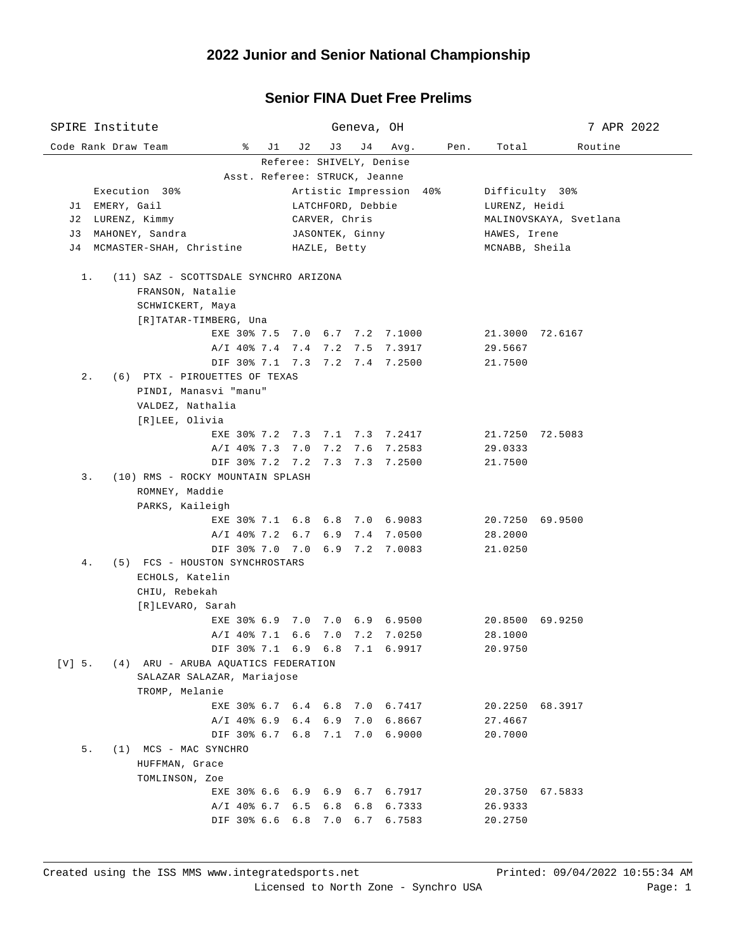## **Senior FINA Duet Free Prelims**

| SPIRE Institute                                          |                                | Geneva, OH                       |              |                            | 7 APR 2022 |  |  |  |  |  |  |  |
|----------------------------------------------------------|--------------------------------|----------------------------------|--------------|----------------------------|------------|--|--|--|--|--|--|--|
| Code Rank Draw Team<br>ိ<br>J1                           | J 2                            | J 4<br>J3                        | Pen.<br>Avg. | Total                      | Routine    |  |  |  |  |  |  |  |
| Referee: SHIVELY, Denise                                 |                                |                                  |              |                            |            |  |  |  |  |  |  |  |
| Asst. Referee: STRUCK, Jeanne<br>Artistic Impression 40% |                                |                                  |              |                            |            |  |  |  |  |  |  |  |
| Execution 30%                                            | Difficulty 30%                 |                                  |              |                            |            |  |  |  |  |  |  |  |
| J1 EMERY, Gail                                           |                                | LATCHFORD, Debbie                |              | LURENZ, Heidi              |            |  |  |  |  |  |  |  |
| J2 LURENZ, Kimmy                                         |                                | CARVER, Chris<br>JASONTEK, Ginny |              | MALINOVSKAYA, Svetlana     |            |  |  |  |  |  |  |  |
| J3 MAHONEY, Sandra<br>J4 MCMASTER-SHAH, Christine        | HAWES, Irene<br>MCNABB, Sheila |                                  |              |                            |            |  |  |  |  |  |  |  |
|                                                          |                                | HAZLE, Betty                     |              |                            |            |  |  |  |  |  |  |  |
| $1$ .<br>(11) SAZ - SCOTTSDALE SYNCHRO ARIZONA           |                                |                                  |              |                            |            |  |  |  |  |  |  |  |
| FRANSON, Natalie                                         |                                |                                  |              |                            |            |  |  |  |  |  |  |  |
| SCHWICKERT, Maya                                         |                                |                                  |              |                            |            |  |  |  |  |  |  |  |
| [R]TATAR-TIMBERG, Una                                    |                                |                                  |              |                            |            |  |  |  |  |  |  |  |
| EXE 30% 7.5 7.0 6.7 7.2 7.1000                           |                                |                                  |              | 21.3000 72.6167            |            |  |  |  |  |  |  |  |
| A/I 40% 7.4 7.4 7.2 7.5 7.3917                           |                                |                                  |              | 29.5667                    |            |  |  |  |  |  |  |  |
| DIF 30% 7.1 7.3 7.2 7.4 7.2500                           |                                |                                  |              | 21.7500                    |            |  |  |  |  |  |  |  |
| $2$ .<br>(6) PTX - PIROUETTES OF TEXAS                   |                                |                                  |              |                            |            |  |  |  |  |  |  |  |
| PINDI, Manasvi "manu"                                    |                                |                                  |              |                            |            |  |  |  |  |  |  |  |
| VALDEZ, Nathalia                                         |                                |                                  |              |                            |            |  |  |  |  |  |  |  |
| [R]LEE, Olivia                                           |                                |                                  |              |                            |            |  |  |  |  |  |  |  |
| EXE 30% 7.2 7.3 7.1 7.3 7.2417                           |                                |                                  |              | 21.7250 72.5083            |            |  |  |  |  |  |  |  |
| A/I 40% 7.3 7.0 7.2 7.6 7.2583                           |                                |                                  |              | 29.0333                    |            |  |  |  |  |  |  |  |
| DIF 30% 7.2 7.2 7.3 7.3 7.2500                           |                                |                                  |              | 21.7500                    |            |  |  |  |  |  |  |  |
| 3.<br>(10) RMS - ROCKY MOUNTAIN SPLASH                   |                                |                                  |              |                            |            |  |  |  |  |  |  |  |
| ROMNEY, Maddie<br>PARKS, Kaileigh                        |                                |                                  |              |                            |            |  |  |  |  |  |  |  |
| EXE 30% 7.1 6.8 6.8 7.0 6.9083                           |                                |                                  |              | 20.7250 69.9500            |            |  |  |  |  |  |  |  |
| A/I 40% 7.2 6.7 6.9 7.4 7.0500                           |                                |                                  |              | 28.2000                    |            |  |  |  |  |  |  |  |
| DIF 30% 7.0 7.0 6.9 7.2 7.0083                           |                                |                                  |              | 21.0250                    |            |  |  |  |  |  |  |  |
| (5) FCS - HOUSTON SYNCHROSTARS<br>4.                     |                                |                                  |              |                            |            |  |  |  |  |  |  |  |
| ECHOLS, Katelin                                          |                                |                                  |              |                            |            |  |  |  |  |  |  |  |
| CHIU, Rebekah                                            |                                |                                  |              |                            |            |  |  |  |  |  |  |  |
| [R]LEVARO, Sarah                                         |                                |                                  |              |                            |            |  |  |  |  |  |  |  |
| EXE 30% 6.9 7.0 7.0 6.9 6.9500                           |                                |                                  |              | 20.8500 69.9250            |            |  |  |  |  |  |  |  |
| A/I 40% 7.1 6.6 7.0 7.2 7.0250                           |                                |                                  |              | 28.1000                    |            |  |  |  |  |  |  |  |
| DIF 30% 7.1 6.9 6.8 7.1 6.9917                           |                                |                                  |              | 20.9750                    |            |  |  |  |  |  |  |  |
| [V] 5.<br>(4) ARU - ARUBA AQUATICS FEDERATION            |                                |                                  |              |                            |            |  |  |  |  |  |  |  |
| SALAZAR SALAZAR, Mariajose                               |                                |                                  |              |                            |            |  |  |  |  |  |  |  |
| TROMP, Melanie                                           |                                |                                  |              |                            |            |  |  |  |  |  |  |  |
| EXE 30% 6.7 6.4 6.8 7.0 6.7417                           |                                |                                  |              | 20.2250 68.3917            |            |  |  |  |  |  |  |  |
| A/I 40% 6.9 6.4 6.9 7.0 6.8667                           |                                |                                  |              | 27.4667                    |            |  |  |  |  |  |  |  |
| DIF 30% 6.7 6.8 7.1 7.0 6.9000                           |                                |                                  |              | 20.7000                    |            |  |  |  |  |  |  |  |
| 5.<br>(1) MCS - MAC SYNCHRO                              |                                |                                  |              |                            |            |  |  |  |  |  |  |  |
| HUFFMAN, Grace                                           |                                |                                  |              |                            |            |  |  |  |  |  |  |  |
| TOMLINSON, Zoe                                           |                                |                                  |              |                            |            |  |  |  |  |  |  |  |
| EXE 30% 6.6 6.9 6.9 6.7 6.7917<br>$A/I$ 40% 6.7 6.5 6.8  |                                |                                  | 6.8 6.7333   | 20.3750 67.5833<br>26.9333 |            |  |  |  |  |  |  |  |
| DIF 30% 6.6 6.8 7.0                                      |                                | 6.7                              | 6.7583       | 20.2750                    |            |  |  |  |  |  |  |  |
|                                                          |                                |                                  |              |                            |            |  |  |  |  |  |  |  |